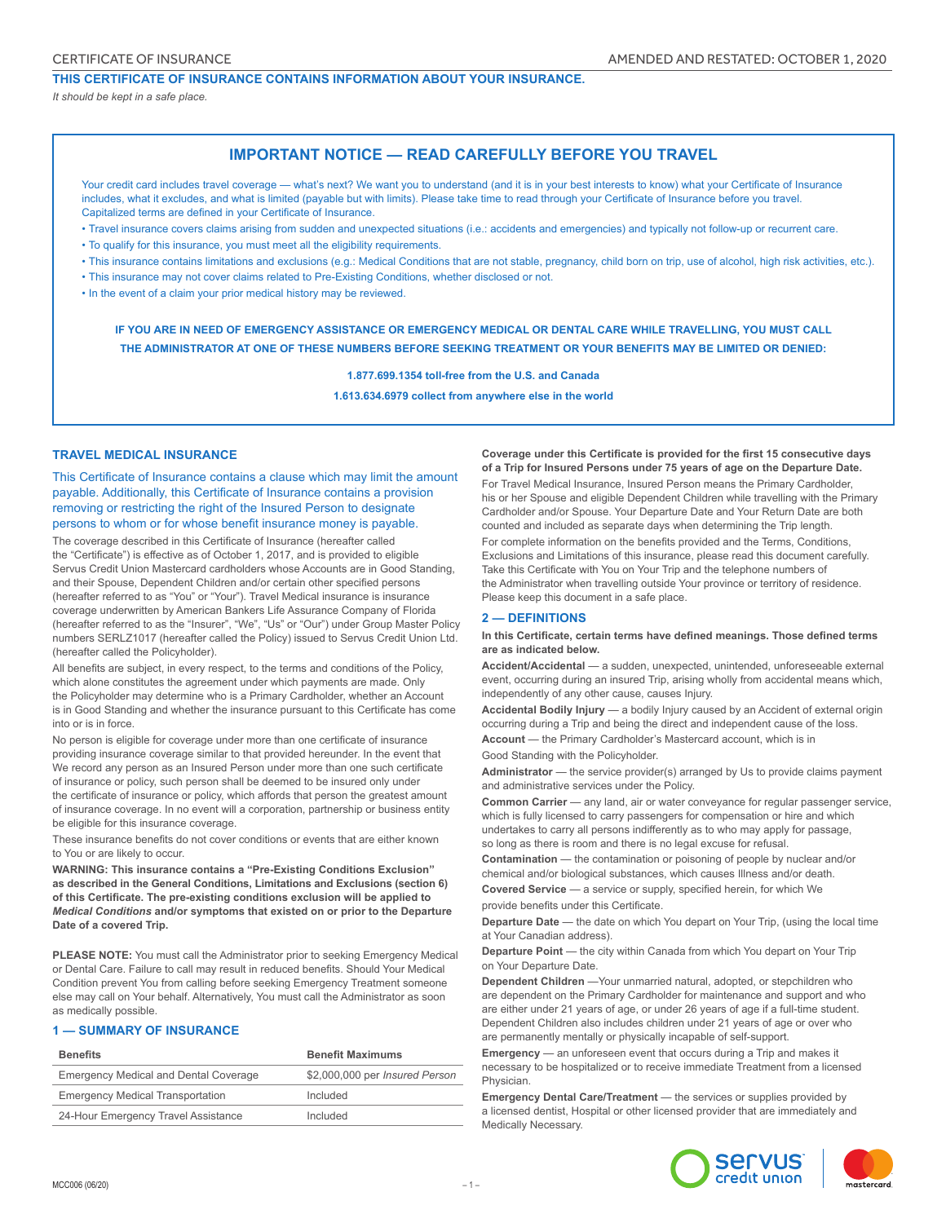# **THIS CERTIFICATE OF INSURANCE CONTAINS INFORMATION ABOUT YOUR INSURANCE.**

*It should be kept in a safe place.*

# **IMPORTANT NOTICE — READ CAREFULLY BEFORE YOU TRAVEL**

Your credit card includes travel coverage — what's next? We want you to understand (and it is in your best interests to know) what your Certificate of Insurance includes, what it excludes, and what is limited (payable but with limits). Please take time to read through your Certificate of Insurance before you travel. Capitalized terms are defined in your Certificate of Insurance.

- Travel insurance covers claims arising from sudden and unexpected situations (i.e.: accidents and emergencies) and typically not follow-up or recurrent care.
- To qualify for this insurance, you must meet all the eligibility requirements.
- This insurance contains limitations and exclusions (e.g.: Medical Conditions that are not stable, pregnancy, child born on trip, use of alcohol, high risk activities, etc.).

• This insurance may not cover claims related to Pre-Existing Conditions, whether disclosed or not.

• In the event of a claim your prior medical history may be reviewed.

**IF YOU ARE IN NEED OF EMERGENCY ASSISTANCE OR EMERGENCY MEDICAL OR DENTAL CARE WHILE TRAVELLING, YOU MUST CALL THE ADMINISTRATOR AT ONE OF THESE NUMBERS BEFORE SEEKING TREATMENT OR YOUR BENEFITS MAY BE LIMITED OR DENIED:**

**1.877.699.1354 toll-free from the U.S. and Canada**

**1.613.634.6979 collect from anywhere else in the world**

#### **TRAVEL MEDICAL INSURANCE**

This Certificate of Insurance contains a clause which may limit the amount payable. Additionally, this Certificate of Insurance contains a provision removing or restricting the right of the Insured Person to designate persons to whom or for whose benefit insurance money is payable.

The coverage described in this Certificate of Insurance (hereafter called the "Certificate") is effective as of October 1, 2017, and is provided to eligible Servus Credit Union Mastercard cardholders whose Accounts are in Good Standing, and their Spouse, Dependent Children and/or certain other specified persons (hereafter referred to as "You" or "Your"). Travel Medical insurance is insurance coverage underwritten by American Bankers Life Assurance Company of Florida (hereafter referred to as the "Insurer", "We", "Us" or "Our") under Group Master Policy numbers SERLZ1017 (hereafter called the Policy) issued to Servus Credit Union Ltd. (hereafter called the Policyholder).

All benefits are subject, in every respect, to the terms and conditions of the Policy, which alone constitutes the agreement under which payments are made. Only the Policyholder may determine who is a Primary Cardholder, whether an Account is in Good Standing and whether the insurance pursuant to this Certificate has come into or is in force.

No person is eligible for coverage under more than one certificate of insurance providing insurance coverage similar to that provided hereunder. In the event that We record any person as an Insured Person under more than one such certificate of insurance or policy, such person shall be deemed to be insured only under the certificate of insurance or policy, which affords that person the greatest amount of insurance coverage. In no event will a corporation, partnership or business entity be eligible for this insurance coverage.

These insurance benefits do not cover conditions or events that are either known to You or are likely to occur.

**WARNING: This insurance contains a "Pre-Existing Conditions Exclusion" as described in the General Conditions, Limitations and Exclusions (section 6) of this Certificate. The pre-existing conditions exclusion will be applied to**  *Medical Conditions* **and/or symptoms that existed on or prior to the Departure Date of a covered Trip.**

**PLEASE NOTE:** You must call the Administrator prior to seeking Emergency Medical or Dental Care. Failure to call may result in reduced benefits. Should Your Medical Condition prevent You from calling before seeking Emergency Treatment someone else may call on Your behalf. Alternatively, You must call the Administrator as soon as medically possible.

# **1 — SUMMARY OF INSURANCE**

| <b>Benefits</b>                              | <b>Benefit Maximums</b>        |
|----------------------------------------------|--------------------------------|
| <b>Emergency Medical and Dental Coverage</b> | \$2,000,000 per Insured Person |
| <b>Emergency Medical Transportation</b>      | Included                       |
| 24-Hour Emergency Travel Assistance          | Included                       |

**Coverage under this Certificate is provided for the first 15 consecutive days of a Trip for Insured Persons under 75 years of age on the Departure Date.**  For Travel Medical Insurance, Insured Person means the Primary Cardholder, his or her Spouse and eligible Dependent Children while travelling with the Primary Cardholder and/or Spouse. Your Departure Date and Your Return Date are both counted and included as separate days when determining the Trip length.

For complete information on the benefits provided and the Terms, Conditions, Exclusions and Limitations of this insurance, please read this document carefully. Take this Certificate with You on Your Trip and the telephone numbers of the Administrator when travelling outside Your province or territory of residence. Please keep this document in a safe place.

# **2 — DEFINITIONS**

**In this Certificate, certain terms have defined meanings. Those defined terms are as indicated below.**

**Accident/Accidental** — a sudden, unexpected, unintended, unforeseeable external event, occurring during an insured Trip, arising wholly from accidental means which, independently of any other cause, causes Injury.

**Accidental Bodily Injury** — a bodily Injury caused by an Accident of external origin occurring during a Trip and being the direct and independent cause of the loss.

**Account** — the Primary Cardholder's Mastercard account, which is in Good Standing with the Policyholder.

**Administrator** — the service provider(s) arranged by Us to provide claims payment and administrative services under the Policy.

**Common Carrier** — any land, air or water conveyance for regular passenger service, which is fully licensed to carry passengers for compensation or hire and which undertakes to carry all persons indifferently as to who may apply for passage, so long as there is room and there is no legal excuse for refusal.

**Contamination** — the contamination or poisoning of people by nuclear and/or chemical and/or biological substances, which causes Illness and/or death. **Covered Service** — a service or supply, specified herein, for which We

provide benefits under this Certificate.

**Departure Date** — the date on which You depart on Your Trip, (using the local time at Your Canadian address).

**Departure Point** — the city within Canada from which You depart on Your Trip on Your Departure Date.

**Dependent Children** —Your unmarried natural, adopted, or stepchildren who are dependent on the Primary Cardholder for maintenance and support and who are either under 21 years of age, or under 26 years of age if a full-time student. Dependent Children also includes children under 21 years of age or over who are permanently mentally or physically incapable of self-support.

**Emergency** — an unforeseen event that occurs during a Trip and makes it necessary to be hospitalized or to receive immediate Treatment from a licensed Physician.

**Emergency Dental Care/Treatment** - the services or supplies provided by a licensed dentist, Hospital or other licensed provider that are immediately and Medically Necessary.

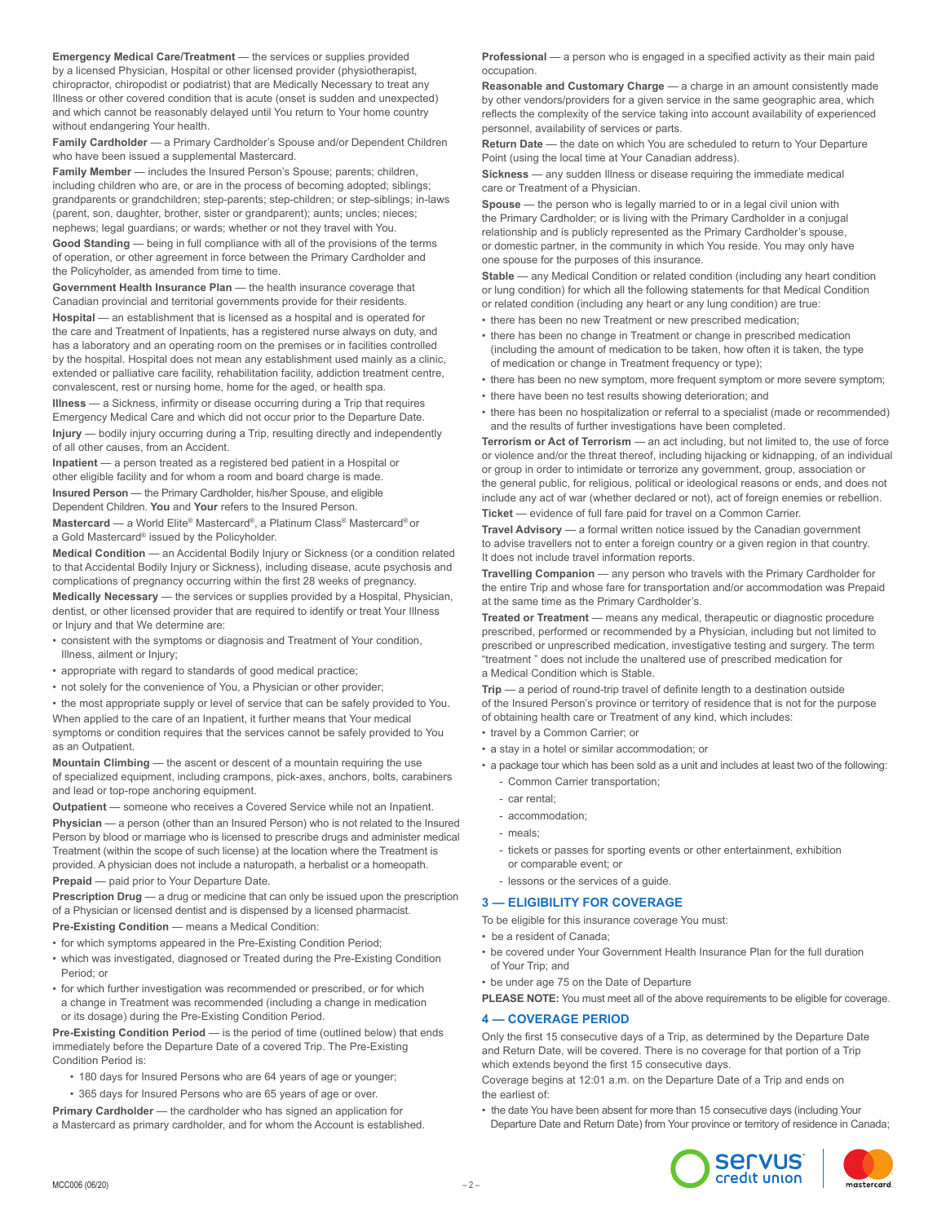**Emergency Medical Care/Treatment** — the services or supplies provided by a licensed Physician, Hospital or other licensed provider (physiotherapist, chiropractor, chiropodist or podiatrist) that are Medically Necessary to treat any Illness or other covered condition that is acute (onset is sudden and unexpected) and which cannot be reasonably delayed until You return to Your home country without endangering Your health.

**Family Cardholder** — a Primary Cardholder's Spouse and/or Dependent Children who have been issued a supplemental Mastercard.

**Family Member** — includes the Insured Person's Spouse; parents; children, including children who are, or are in the process of becoming adopted; siblings; grandparents or grandchildren; step-parents; step-children; or step-siblings; in-laws (parent, son, daughter, brother, sister or grandparent); aunts; uncles; nieces; nephews; legal guardians; or wards; whether or not they travel with You.

**Good Standing** — being in full compliance with all of the provisions of the terms of operation, or other agreement in force between the Primary Cardholder and the Policyholder, as amended from time to time.

**Government Health Insurance Plan** — the health insurance coverage that Canadian provincial and territorial governments provide for their residents.

Hospital - an establishment that is licensed as a hospital and is operated for the care and Treatment of Inpatients, has a registered nurse always on duty, and has a laboratory and an operating room on the premises or in facilities controlled by the hospital. Hospital does not mean any establishment used mainly as a clinic, extended or palliative care facility, rehabilitation facility, addiction treatment centre, convalescent, rest or nursing home, home for the aged, or health spa.

**Illness** — a Sickness, infirmity or disease occurring during a Trip that requires Emergency Medical Care and which did not occur prior to the Departure Date. **Injury** — bodily injury occurring during a Trip, resulting directly and independently of all other causes, from an Accident.

**Inpatient** — a person treated as a registered bed patient in a Hospital or other eligible facility and for whom a room and board charge is made. **Insured Person** — the Primary Cardholder, his/her Spouse, and eligible

Dependent Children. **You** and **Your** refers to the Insured Person.

**Mastercard** — a World Elite® Mastercard®, a Platinum Class® Mastercard® or a Gold Mastercard® issued by the Policyholder.

**Medical Condition** — an Accidental Bodily Injury or Sickness (or a condition related to that Accidental Bodily Injury or Sickness), including disease, acute psychosis and complications of pregnancy occurring within the first 28 weeks of pregnancy.

**Medically Necessary** — the services or supplies provided by a Hospital, Physician, dentist, or other licensed provider that are required to identify or treat Your Illness or Injury and that We determine are:

- consistent with the symptoms or diagnosis and Treatment of Your condition, Illness, ailment or Injury;
- appropriate with regard to standards of good medical practice;
- not solely for the convenience of You, a Physician or other provider;

• the most appropriate supply or level of service that can be safely provided to You. When applied to the care of an Inpatient, it further means that Your medical symptoms or condition requires that the services cannot be safely provided to You

as an Outpatient. **Mountain Climbing** — the ascent or descent of a mountain requiring the use of specialized equipment, including crampons, pick-axes, anchors, bolts, carabiners

and lead or top-rope anchoring equipment. **Outpatient** — someone who receives a Covered Service while not an Inpatient.

**Physician** — a person (other than an Insured Person) who is not related to the Insured Person by blood or marriage who is licensed to prescribe drugs and administer medical Treatment (within the scope of such license) at the location where the Treatment is provided. A physician does not include a naturopath, a herbalist or a homeopath. **Prepaid** — paid prior to Your Departure Date.

**Prescription Drug** — a drug or medicine that can only be issued upon the prescription of a Physician or licensed dentist and is dispensed by a licensed pharmacist. **Pre-Existing Condition** — means a Medical Condition:

• for which symptoms appeared in the Pre-Existing Condition Period;

- which was investigated, diagnosed or Treated during the Pre-Existing Condition Period; or
- for which further investigation was recommended or prescribed, or for which a change in Treatment was recommended (including a change in medication or its dosage) during the Pre-Existing Condition Period.

**Pre-Existing Condition Period** — is the period of time (outlined below) that ends immediately before the Departure Date of a covered Trip. The Pre-Existing Condition Period is:

- 180 days for Insured Persons who are 64 years of age or younger;
- 365 days for Insured Persons who are 65 years of age or over.

**Primary Cardholder** — the cardholder who has signed an application for a Mastercard as primary cardholder, and for whom the Account is established. **Professional** — a person who is engaged in a specified activity as their main paid occupation.

**Reasonable and Customary Charge** — a charge in an amount consistently made by other vendors/providers for a given service in the same geographic area, which reflects the complexity of the service taking into account availability of experienced personnel, availability of services or parts.

**Return Date** — the date on which You are scheduled to return to Your Departure Point (using the local time at Your Canadian address).

**Sickness** — any sudden Illness or disease requiring the immediate medical care or Treatment of a Physician.

**Spouse** — the person who is legally married to or in a legal civil union with the Primary Cardholder; or is living with the Primary Cardholder in a conjugal relationship and is publicly represented as the Primary Cardholder's spouse, or domestic partner, in the community in which You reside. You may only have one spouse for the purposes of this insurance.

**Stable** — any Medical Condition or related condition (including any heart condition or lung condition) for which all the following statements for that Medical Condition or related condition (including any heart or any lung condition) are true:

- there has been no new Treatment or new prescribed medication;
- there has been no change in Treatment or change in prescribed medication (including the amount of medication to be taken, how often it is taken, the type of medication or change in Treatment frequency or type);
- there has been no new symptom, more frequent symptom or more severe symptom;
- there have been no test results showing deterioration; and
- there has been no hospitalization or referral to a specialist (made or recommended) and the results of further investigations have been completed.

**Terrorism or Act of Terrorism** — an act including, but not limited to, the use of force or violence and/or the threat thereof, including hijacking or kidnapping, of an individual or group in order to intimidate or terrorize any government, group, association or the general public, for religious, political or ideological reasons or ends, and does not include any act of war (whether declared or not), act of foreign enemies or rebellion.

Ticket — evidence of full fare paid for travel on a Common Carrier.

**Travel Advisory** — a formal written notice issued by the Canadian government to advise travellers not to enter a foreign country or a given region in that country. It does not include travel information reports.

**Travelling Companion** — any person who travels with the Primary Cardholder for the entire Trip and whose fare for transportation and/or accommodation was Prepaid at the same time as the Primary Cardholder's.

**Treated or Treatment** — means any medical, therapeutic or diagnostic procedure prescribed, performed or recommended by a Physician, including but not limited to prescribed or unprescribed medication, investigative testing and surgery. The term "treatment " does not include the unaltered use of prescribed medication for a Medical Condition which is Stable.

**Trip** — a period of round-trip travel of definite length to a destination outside of the Insured Person's province or territory of residence that is not for the purpose of obtaining health care or Treatment of any kind, which includes:

- travel by a Common Carrier; or
- a stay in a hotel or similar accommodation; or
- a package tour which has been sold as a unit and includes at least two of the following: Common Carrier transportation;
	- car rental;
	- accommodation;
	- meals;
	- tickets or passes for sporting events or other entertainment, exhibition or comparable event; or
	- lessons or the services of a guide.

# **3 — ELIGIBILITY FOR COVERAGE**

- To be eligible for this insurance coverage You must:
- be a resident of Canada;
- be covered under Your Government Health Insurance Plan for the full duration of Your Trip; and
- be under age 75 on the Date of Departure

**PLEASE NOTE:** You must meet all of the above requirements to be eligible for coverage.

#### **4 — COVERAGE PERIOD**

Only the first 15 consecutive days of a Trip, as determined by the Departure Date and Return Date, will be covered. There is no coverage for that portion of a Trip which extends beyond the first 15 consecutive days.

Coverage begins at 12:01 a.m. on the Departure Date of a Trip and ends on the earliest of:

• the date You have been absent for more than 15 consecutive days (including Your Departure Date and Return Date) from Your province or territory of residence in Canada;



mastercard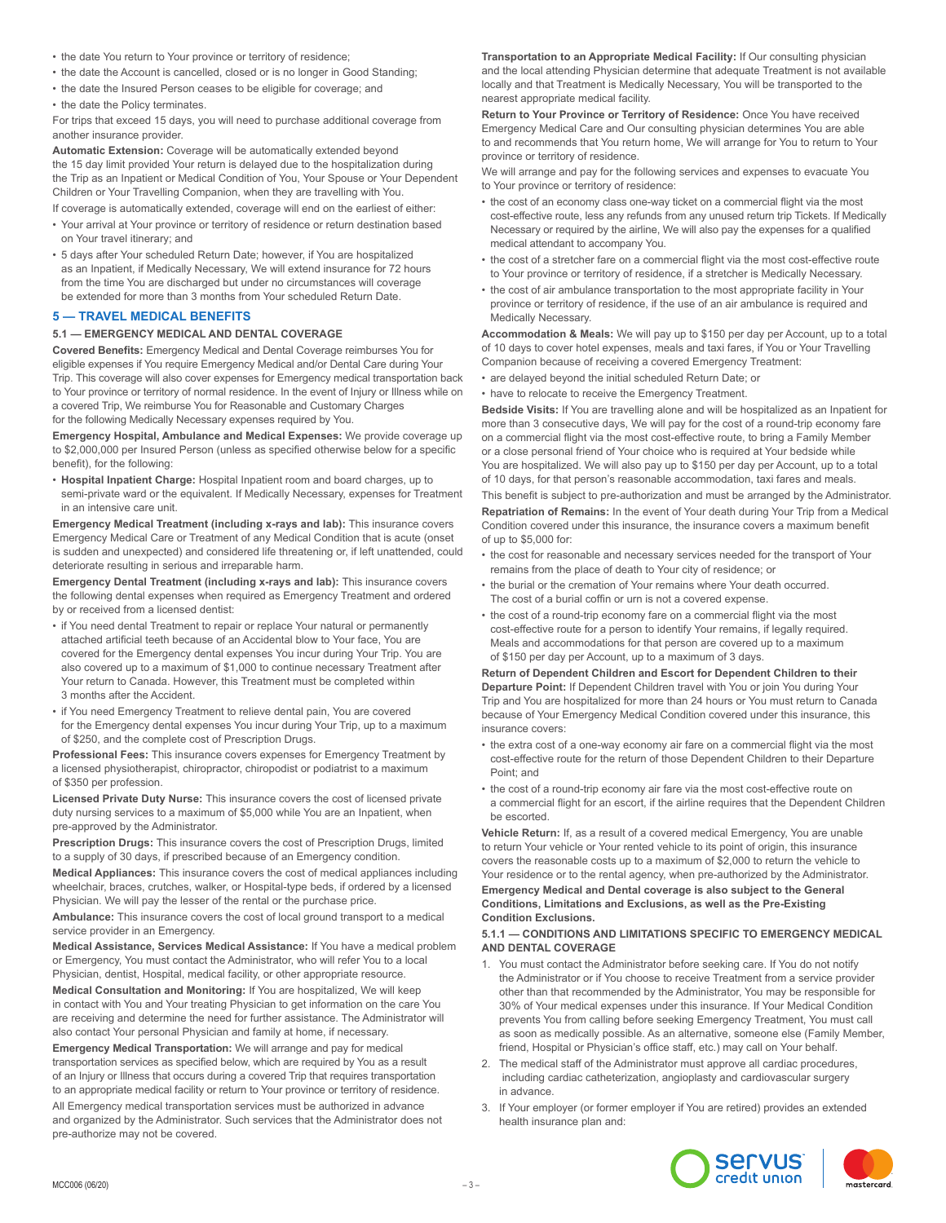- the date You return to Your province or territory of residence;
- the date the Account is cancelled, closed or is no longer in Good Standing;
- the date the Insured Person ceases to be eligible for coverage; and
- the date the Policy terminates.

For trips that exceed 15 days, you will need to purchase additional coverage from another insurance provider.

**Automatic Extension:** Coverage will be automatically extended beyond the 15 day limit provided Your return is delayed due to the hospitalization during the Trip as an Inpatient or Medical Condition of You, Your Spouse or Your Dependent Children or Your Travelling Companion, when they are travelling with You.

If coverage is automatically extended, coverage will end on the earliest of either: • Your arrival at Your province or territory of residence or return destination based

- on Your travel itinerary; and • 5 days after Your scheduled Return Date; however, if You are hospitalized as an Inpatient, if Medically Necessary, We will extend insurance for 72 hours from the time You are discharged but under no circumstances will coverage
- be extended for more than 3 months from Your scheduled Return Date. **5 — TRAVEL MEDICAL BENEFITS**

# **5.1 — EMERGENCY MEDICAL AND DENTAL COVERAGE**

**Covered Benefits:** Emergency Medical and Dental Coverage reimburses You for eligible expenses if You require Emergency Medical and/or Dental Care during Your Trip. This coverage will also cover expenses for Emergency medical transportation back to Your province or territory of normal residence. In the event of Injury or Illness while on a covered Trip, We reimburse You for Reasonable and Customary Charges for the following Medically Necessary expenses required by You.

**Emergency Hospital, Ambulance and Medical Expenses:** We provide coverage up to \$2,000,000 per Insured Person (unless as specified otherwise below for a specific benefit), for the following:

• **Hospital Inpatient Charge:** Hospital Inpatient room and board charges, up to semi-private ward or the equivalent. If Medically Necessary, expenses for Treatment in an intensive care unit.

**Emergency Medical Treatment (including x-rays and lab):** This insurance covers Emergency Medical Care or Treatment of any Medical Condition that is acute (onset is sudden and unexpected) and considered life threatening or, if left unattended, could deteriorate resulting in serious and irreparable harm.

**Emergency Dental Treatment (including x-rays and lab):** This insurance covers the following dental expenses when required as Emergency Treatment and ordered by or received from a licensed dentist:

- if You need dental Treatment to repair or replace Your natural or permanently attached artificial teeth because of an Accidental blow to Your face, You are covered for the Emergency dental expenses You incur during Your Trip. You are also covered up to a maximum of \$1,000 to continue necessary Treatment after Your return to Canada. However, this Treatment must be completed within 3 months after the Accident.
- if You need Emergency Treatment to relieve dental pain, You are covered for the Emergency dental expenses You incur during Your Trip, up to a maximum of \$250, and the complete cost of Prescription Drugs.

**Professional Fees:** This insurance covers expenses for Emergency Treatment by a licensed physiotherapist, chiropractor, chiropodist or podiatrist to a maximum of \$350 per profession.

**Licensed Private Duty Nurse:** This insurance covers the cost of licensed private duty nursing services to a maximum of \$5,000 while You are an Inpatient, when pre-approved by the Administrator.

**Prescription Drugs:** This insurance covers the cost of Prescription Drugs, limited to a supply of 30 days, if prescribed because of an Emergency condition. **Medical Appliances:** This insurance covers the cost of medical appliances including

wheelchair, braces, crutches, walker, or Hospital-type beds, if ordered by a licensed Physician. We will pay the lesser of the rental or the purchase price.

**Ambulance:** This insurance covers the cost of local ground transport to a medical service provider in an Emergency.

**Medical Assistance, Services Medical Assistance:** If You have a medical problem or Emergency, You must contact the Administrator, who will refer You to a local Physician, dentist, Hospital, medical facility, or other appropriate resource.

**Medical Consultation and Monitoring:** If You are hospitalized, We will keep in contact with You and Your treating Physician to get information on the care You are receiving and determine the need for further assistance. The Administrator will also contact Your personal Physician and family at home, if necessary.

**Emergency Medical Transportation:** We will arrange and pay for medical transportation services as specified below, which are required by You as a result of an Injury or Illness that occurs during a covered Trip that requires transportation to an appropriate medical facility or return to Your province or territory of residence. All Emergency medical transportation services must be authorized in advance and organized by the Administrator. Such services that the Administrator does not pre-authorize may not be covered.

**Transportation to an Appropriate Medical Facility:** If Our consulting physician and the local attending Physician determine that adequate Treatment is not available locally and that Treatment is Medically Necessary, You will be transported to the nearest appropriate medical facility.

**Return to Your Province or Territory of Residence:** Once You have received Emergency Medical Care and Our consulting physician determines You are able to and recommends that You return home, We will arrange for You to return to Your province or territory of residence.

We will arrange and pay for the following services and expenses to evacuate You to Your province or territory of residence:

- the cost of an economy class one-way ticket on a commercial flight via the most cost-effective route, less any refunds from any unused return trip Tickets. If Medically Necessary or required by the airline, We will also pay the expenses for a qualified medical attendant to accompany You.
- the cost of a stretcher fare on a commercial flight via the most cost-effective route to Your province or territory of residence, if a stretcher is Medically Necessary.
- the cost of air ambulance transportation to the most appropriate facility in Your province or territory of residence, if the use of an air ambulance is required and Medically Necessary.

**Accommodation & Meals:** We will pay up to \$150 per day per Account, up to a total of 10 days to cover hotel expenses, meals and taxi fares, if You or Your Travelling Companion because of receiving a covered Emergency Treatment:

• are delayed beyond the initial scheduled Return Date; or • have to relocate to receive the Emergency Treatment.

**Bedside Visits:** If You are travelling alone and will be hospitalized as an Inpatient for more than 3 consecutive days, We will pay for the cost of a round-trip economy fare on a commercial flight via the most cost-effective route, to bring a Family Member or a close personal friend of Your choice who is required at Your bedside while You are hospitalized. We will also pay up to \$150 per day per Account, up to a total of 10 days, for that person's reasonable accommodation, taxi fares and meals. This benefit is subject to pre-authorization and must be arranged by the Administrator. **Repatriation of Remains:** In the event of Your death during Your Trip from a Medical Condition covered under this insurance, the insurance covers a maximum benefit of up to \$5,000 for:

- the cost for reasonable and necessary services needed for the transport of Your remains from the place of death to Your city of residence; or
- the burial or the cremation of Your remains where Your death occurred. The cost of a burial coffin or urn is not a covered expense.
- the cost of a round-trip economy fare on a commercial flight via the most cost-effective route for a person to identify Your remains, if legally required. Meals and accommodations for that person are covered up to a maximum of \$150 per day per Account, up to a maximum of 3 days.

**Return of Dependent Children and Escort for Dependent Children to their Departure Point:** If Dependent Children travel with You or join You during Your Trip and You are hospitalized for more than 24 hours or You must return to Canada because of Your Emergency Medical Condition covered under this insurance, this insurance covers:

- the extra cost of a one-way economy air fare on a commercial flight via the most cost-effective route for the return of those Dependent Children to their Departure Point; and
- the cost of a round-trip economy air fare via the most cost-effective route on a commercial flight for an escort, if the airline requires that the Dependent Children be escorted.

**Vehicle Return:** If, as a result of a covered medical Emergency, You are unable to return Your vehicle or Your rented vehicle to its point of origin, this insurance covers the reasonable costs up to a maximum of \$2,000 to return the vehicle to Your residence or to the rental agency, when pre-authorized by the Administrator.

**Emergency Medical and Dental coverage is also subject to the General Conditions, Limitations and Exclusions, as well as the Pre-Existing Condition Exclusions.**

#### **5.1.1 — CONDITIONS AND LIMITATIONS SPECIFIC TO EMERGENCY MEDICAL AND DENTAL COVERAGE**

- 1. You must contact the Administrator before seeking care. If You do not notify the Administrator or if You choose to receive Treatment from a service provider other than that recommended by the Administrator, You may be responsible for 30% of Your medical expenses under this insurance. If Your Medical Condition prevents You from calling before seeking Emergency Treatment, You must call as soon as medically possible. As an alternative, someone else (Family Member, friend, Hospital or Physician's office staff, etc.) may call on Your behalf.
- 2. The medical staff of the Administrator must approve all cardiac procedures, including cardiac catheterization, angioplasty and cardiovascular surgery in advance.
- 3. If Your employer (or former employer if You are retired) provides an extended health insurance plan and:

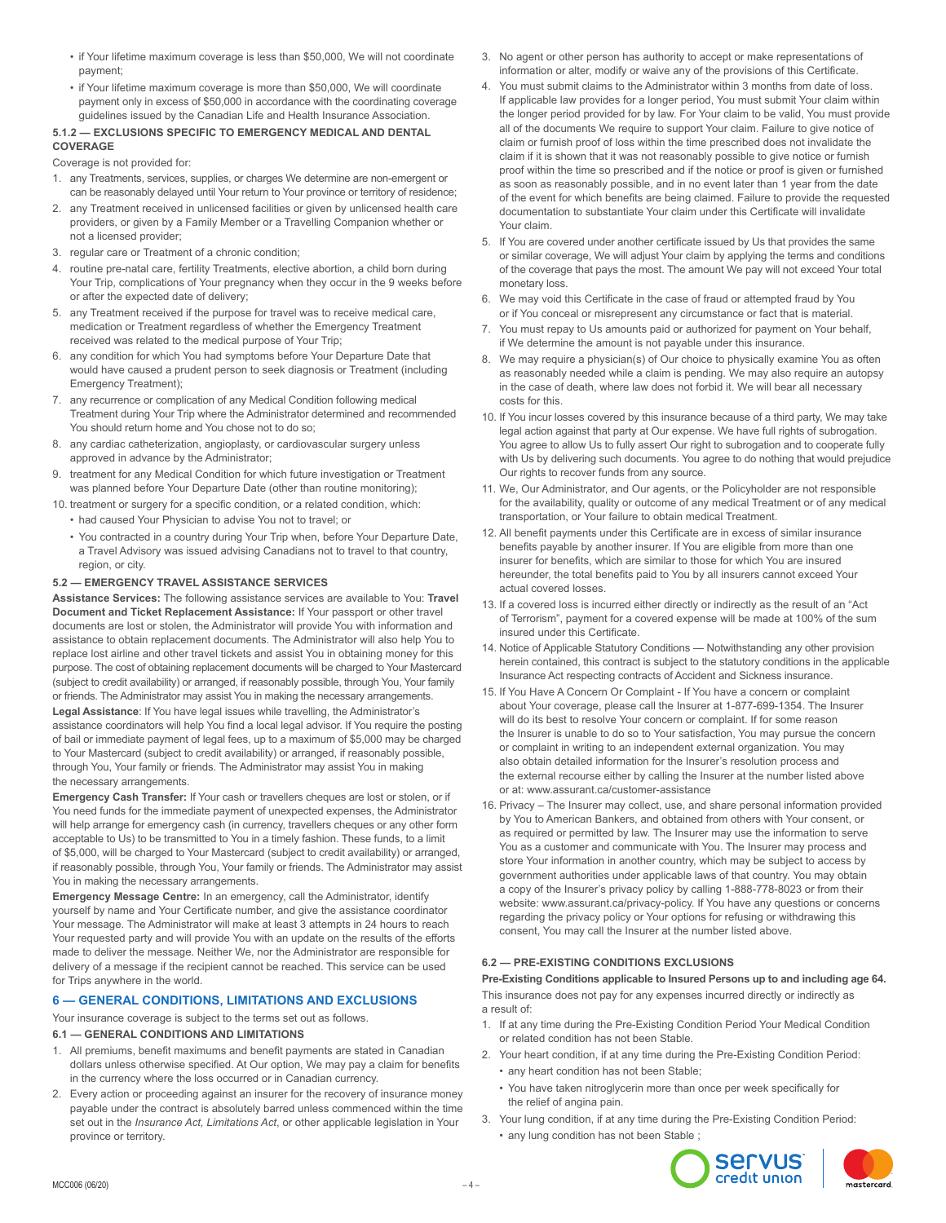- if Your lifetime maximum coverage is less than \$50,000, We will not coordinate payment;
- if Your lifetime maximum coverage is more than \$50,000, We will coordinate payment only in excess of \$50,000 in accordance with the coordinating coverage guidelines issued by the Canadian Life and Health Insurance Association.

#### **5.1.2 — EXCLUSIONS SPECIFIC TO EMERGENCY MEDICAL AND DENTAL COVERAGE**

Coverage is not provided for:

- 1. any Treatments, services, supplies, or charges We determine are non-emergent or can be reasonably delayed until Your return to Your province or territory of residence;
- 2. any Treatment received in unlicensed facilities or given by unlicensed health care providers, or given by a Family Member or a Travelling Companion whether or not a licensed provider;
- 3. regular care or Treatment of a chronic condition;
- 4. routine pre-natal care, fertility Treatments, elective abortion, a child born during Your Trip, complications of Your pregnancy when they occur in the 9 weeks before or after the expected date of delivery;
- 5. any Treatment received if the purpose for travel was to receive medical care, medication or Treatment regardless of whether the Emergency Treatment received was related to the medical purpose of Your Trip;
- 6. any condition for which You had symptoms before Your Departure Date that would have caused a prudent person to seek diagnosis or Treatment (including Emergency Treatment);
- 7. any recurrence or complication of any Medical Condition following medical Treatment during Your Trip where the Administrator determined and recommended You should return home and You chose not to do so;
- 8. any cardiac catheterization, angioplasty, or cardiovascular surgery unless approved in advance by the Administrator;
- 9. treatment for any Medical Condition for which future investigation or Treatment was planned before Your Departure Date (other than routine monitoring);
- 10. treatment or surgery for a specific condition, or a related condition, which:
	- had caused Your Physician to advise You not to travel; or
	- You contracted in a country during Your Trip when, before Your Departure Date, a Travel Advisory was issued advising Canadians not to travel to that country, region, or city.

# **5.2 — EMERGENCY TRAVEL ASSISTANCE SERVICES**

**Assistance Services:** The following assistance services are available to You: **Travel Document and Ticket Replacement Assistance:** If Your passport or other travel documents are lost or stolen, the Administrator will provide You with information and assistance to obtain replacement documents. The Administrator will also help You to replace lost airline and other travel tickets and assist You in obtaining money for this purpose. The cost of obtaining replacement documents will be charged to Your Mastercard (subject to credit availability) or arranged, if reasonably possible, through You, Your family or friends. The Administrator may assist You in making the necessary arrangements.

**Legal Assistance**: If You have legal issues while travelling, the Administrator's assistance coordinators will help You find a local legal advisor. If You require the posting of bail or immediate payment of legal fees, up to a maximum of \$5,000 may be charged to Your Mastercard (subject to credit availability) or arranged, if reasonably possible, through You, Your family or friends. The Administrator may assist You in making the necessary arrangements.

**Emergency Cash Transfer:** If Your cash or travellers cheques are lost or stolen, or if You need funds for the immediate payment of unexpected expenses, the Administrator will help arrange for emergency cash (in currency, travellers cheques or any other form acceptable to Us) to be transmitted to You in a timely fashion. These funds, to a limit of \$5,000, will be charged to Your Mastercard (subject to credit availability) or arranged, if reasonably possible, through You, Your family or friends. The Administrator may assist You in making the necessary arrangements.

**Emergency Message Centre:** In an emergency, call the Administrator, identify yourself by name and Your Certificate number, and give the assistance coordinator Your message. The Administrator will make at least 3 attempts in 24 hours to reach Your requested party and will provide You with an update on the results of the efforts made to deliver the message. Neither We, nor the Administrator are responsible for delivery of a message if the recipient cannot be reached. This service can be used for Trips anywhere in the world.

# **6 — GENERAL CONDITIONS, LIMITATIONS AND EXCLUSIONS**

Your insurance coverage is subject to the terms set out as follows.

#### **6.1 — GENERAL CONDITIONS AND LIMITATIONS**

- 1. All premiums, benefit maximums and benefit payments are stated in Canadian dollars unless otherwise specified. At Our option, We may pay a claim for benefits in the currency where the loss occurred or in Canadian currency.
- 2. Every action or proceeding against an insurer for the recovery of insurance money payable under the contract is absolutely barred unless commenced within the time set out in the *Insurance Act, Limitations Act*, or other applicable legislation in Your province or territory.
- 3. No agent or other person has authority to accept or make representations of information or alter, modify or waive any of the provisions of this Certificate.
- 4. You must submit claims to the Administrator within 3 months from date of loss. If applicable law provides for a longer period, You must submit Your claim within the longer period provided for by law. For Your claim to be valid, You must provide all of the documents We require to support Your claim. Failure to give notice of claim or furnish proof of loss within the time prescribed does not invalidate the claim if it is shown that it was not reasonably possible to give notice or furnish proof within the time so prescribed and if the notice or proof is given or furnished as soon as reasonably possible, and in no event later than 1 year from the date of the event for which benefits are being claimed. Failure to provide the requested documentation to substantiate Your claim under this Certificate will invalidate Your claim.
- 5. If You are covered under another certificate issued by Us that provides the same or similar coverage, We will adjust Your claim by applying the terms and conditions of the coverage that pays the most. The amount We pay will not exceed Your total monetary loss.
- 6. We may void this Certificate in the case of fraud or attempted fraud by You or if You conceal or misrepresent any circumstance or fact that is material.
- 7. You must repay to Us amounts paid or authorized for payment on Your behalf, if We determine the amount is not payable under this insurance.
- 8. We may require a physician(s) of Our choice to physically examine You as often as reasonably needed while a claim is pending. We may also require an autopsy in the case of death, where law does not forbid it. We will bear all necessary costs for this.
- 10. If You incur losses covered by this insurance because of a third party, We may take legal action against that party at Our expense. We have full rights of subrogation. You agree to allow Us to fully assert Our right to subrogation and to cooperate fully with Us by delivering such documents. You agree to do nothing that would prejudice Our rights to recover funds from any source.
- 11. We, Our Administrator, and Our agents, or the Policyholder are not responsible for the availability, quality or outcome of any medical Treatment or of any medical transportation, or Your failure to obtain medical Treatment.
- 12. All benefit payments under this Certificate are in excess of similar insurance benefits payable by another insurer. If You are eligible from more than one insurer for benefits, which are similar to those for which You are insured hereunder, the total benefits paid to You by all insurers cannot exceed Your actual covered losses.
- 13. If a covered loss is incurred either directly or indirectly as the result of an "Act of Terrorism", payment for a covered expense will be made at 100% of the sum insured under this Certificate.
- 14. Notice of Applicable Statutory Conditions Notwithstanding any other provision herein contained, this contract is subject to the statutory conditions in the applicable Insurance Act respecting contracts of Accident and Sickness insurance.
- 15. If You Have A Concern Or Complaint If You have a concern or complaint about Your coverage, please call the Insurer at 1-877-699-1354. The Insurer will do its best to resolve Your concern or complaint. If for some reason the Insurer is unable to do so to Your satisfaction, You may pursue the concern or complaint in writing to an independent external organization. You may also obtain detailed information for the Insurer's resolution process and the external recourse either by calling the Insurer at the number listed above or at: www.assurant.ca/customer-assistance
- 16. Privacy The Insurer may collect, use, and share personal information provided by You to American Bankers, and obtained from others with Your consent, or as required or permitted by law. The Insurer may use the information to serve You as a customer and communicate with You. The Insurer may process and store Your information in another country, which may be subject to access by government authorities under applicable laws of that country. You may obtain a copy of the Insurer's privacy policy by calling 1-888-778-8023 or from their website: www.assurant.ca/privacy-policy. If You have any questions or concerns regarding the privacy policy or Your options for refusing or withdrawing this consent, You may call the Insurer at the number listed above.

# **6.2 — PRE-EXISTING CONDITIONS EXCLUSIONS**

**Pre-Existing Conditions applicable to Insured Persons up to and including age 64.** This insurance does not pay for any expenses incurred directly or indirectly as a result of:

- 1. If at any time during the Pre-Existing Condition Period Your Medical Condition or related condition has not been Stable.
- 2. Your heart condition, if at any time during the Pre-Existing Condition Period: • any heart condition has not been Stable;
	- You have taken nitroglycerin more than once per week specifically for the relief of angina pain.
- 3. Your lung condition, if at any time during the Pre-Existing Condition Period: • any lung condition has not been Stable ;



mastercard